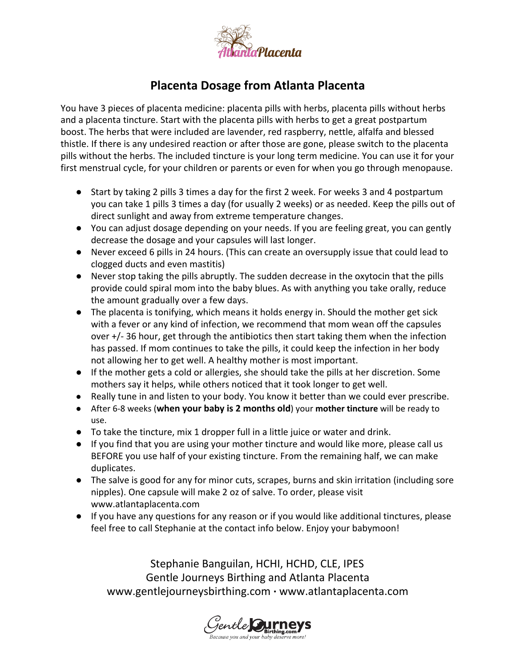

## **Placenta Dosage from Atlanta Placenta**

You have 3 pieces of placenta medicine: placenta pills with herbs, placenta pills without herbs and a placenta tincture. Start with the placenta pills with herbs to get a great postpartum boost. The herbs that were included are lavender, red raspberry, nettle, alfalfa and blessed thistle. If there is any undesired reaction or after those are gone, please switch to the placenta pills without the herbs. The included tincture is your long term medicine. You can use it for your first menstrual cycle, for your children or parents or even for when you go through menopause.

- Start by taking 2 pills 3 times a day for the first 2 week. For weeks 3 and 4 postpartum you can take 1 pills 3 times a day (for usually 2 weeks) or as needed. Keep the pills out of direct sunlight and away from extreme temperature changes.
- You can adjust dosage depending on your needs. If you are feeling great, you can gently decrease the dosage and your capsules will last longer.
- Never exceed 6 pills in 24 hours. (This can create an oversupply issue that could lead to clogged ducts and even mastitis)
- Never stop taking the pills abruptly. The sudden decrease in the oxytocin that the pills provide could spiral mom into the baby blues. As with anything you take orally, reduce the amount gradually over a few days.
- The placenta is tonifying, which means it holds energy in. Should the mother get sick with a fever or any kind of infection, we recommend that mom wean off the capsules over  $+/-$  36 hour, get through the antibiotics then start taking them when the infection has passed. If mom continues to take the pills, it could keep the infection in her body not allowing her to get well. A healthy mother is most important.
- If the mother gets a cold or allergies, she should take the pills at her discretion. Some mothers say it helps, while others noticed that it took longer to get well.
- Really tune in and listen to your body. You know it better than we could ever prescribe.
- After 68 weeks (**when your baby is 2 months old**) your **mother tincture** will be ready to use.
- To take the tincture, mix 1 dropper full in a little juice or water and drink.
- If you find that you are using your mother tincture and would like more, please call us BEFORE you use half of your existing tincture. From the remaining half, we can make duplicates.
- The salve is good for any for minor cuts, scrapes, burns and skin irritation (including sore nipples). One capsule will make 2 oz of salve. To order, please visit www.atlantaplacenta.com
- If you have any questions for any reason or if you would like additional tinctures, please feel free to call Stephanie at the contact info below. Enjoy your babymoon!

Stephanie Banguilan, HCHI, HCHD, CLE, IPES Gentle Journeys Birthing and Atlanta Placenta [www.gentlejourneysbirthing.com](http://www.gentlejourneysbirthing.com/) **·** www.atlantaplacenta.com